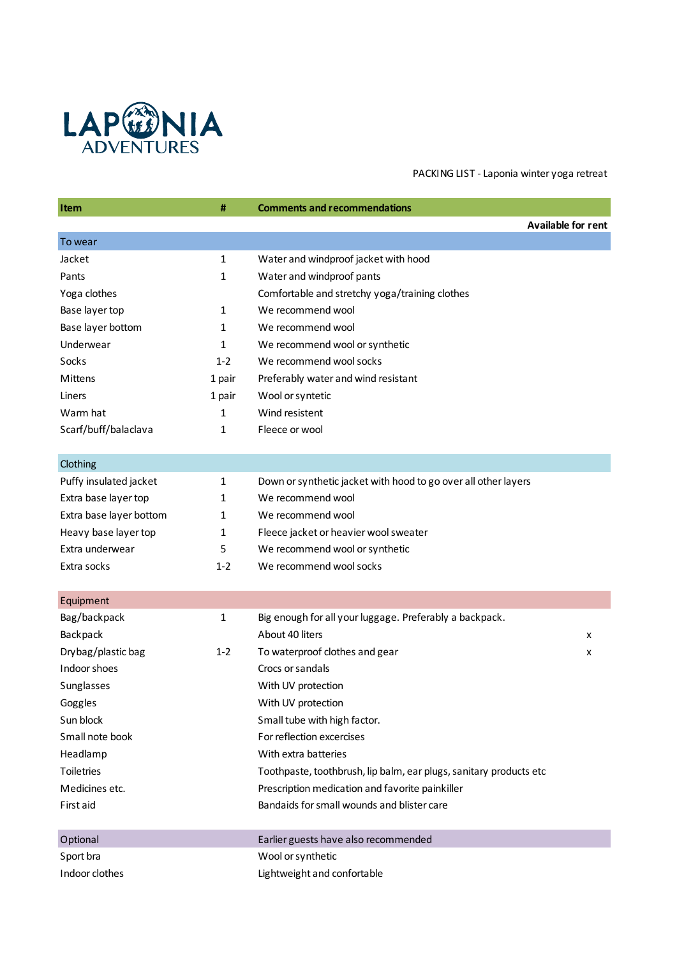

PACKING LIST - Laponia winter yoga retreat

| Item                    | #            | <b>Comments and recommendations</b>                                |                           |
|-------------------------|--------------|--------------------------------------------------------------------|---------------------------|
|                         |              |                                                                    | <b>Available for rent</b> |
| To wear                 |              |                                                                    |                           |
| Jacket                  | 1            | Water and windproof jacket with hood                               |                           |
| Pants                   | 1            | Water and windproof pants                                          |                           |
| Yoga clothes            |              | Comfortable and stretchy yoga/training clothes                     |                           |
| Base layer top          | 1            | We recommend wool                                                  |                           |
| Base layer bottom       | 1            | We recommend wool                                                  |                           |
| Underwear               | 1            | We recommend wool or synthetic                                     |                           |
| Socks                   | $1 - 2$      | We recommend wool socks                                            |                           |
| Mittens                 | 1 pair       | Preferably water and wind resistant                                |                           |
| Liners                  | 1 pair       | Wool or syntetic                                                   |                           |
| Warm hat                | 1            | Wind resistent                                                     |                           |
| Scarf/buff/balaclava    | 1            | Fleece or wool                                                     |                           |
|                         |              |                                                                    |                           |
| Clothing                |              |                                                                    |                           |
| Puffy insulated jacket  | 1            | Down or synthetic jacket with hood to go over all other layers     |                           |
| Extra base layer top    | 1            | We recommend wool                                                  |                           |
| Extra base layer bottom | 1            | We recommend wool                                                  |                           |
| Heavy base layer top    | 1            | Fleece jacket or heavier wool sweater                              |                           |
| Extra underwear         | 5            | We recommend wool or synthetic                                     |                           |
| Extra socks             | $1 - 2$      | We recommend wool socks                                            |                           |
|                         |              |                                                                    |                           |
| Equipment               |              |                                                                    |                           |
| Bag/backpack            | $\mathbf{1}$ | Big enough for all your luggage. Preferably a backpack.            |                           |
| Backpack                |              | About 40 liters                                                    | x                         |
| Drybag/plastic bag      | $1 - 2$      | To waterproof clothes and gear                                     | x                         |
| Indoor shoes            |              | Crocs or sandals                                                   |                           |
| Sunglasses              |              | With UV protection                                                 |                           |
| Goggles                 |              | With UV protection                                                 |                           |
| Sun block               |              | Small tube with high factor.                                       |                           |
| Small note book         |              | For reflection excercises                                          |                           |
| Headlamp                |              | With extra batteries                                               |                           |
| Toiletries              |              | Toothpaste, toothbrush, lip balm, ear plugs, sanitary products etc |                           |
| Medicines etc.          |              | Prescription medication and favorite painkiller                    |                           |
| First aid               |              | Bandaids for small wounds and blister care                         |                           |
| Optional                |              | Earlier guests have also recommended                               |                           |
| Sport bra               |              | Wool or synthetic                                                  |                           |
| Indoor clothes          |              | Lightweight and confortable                                        |                           |